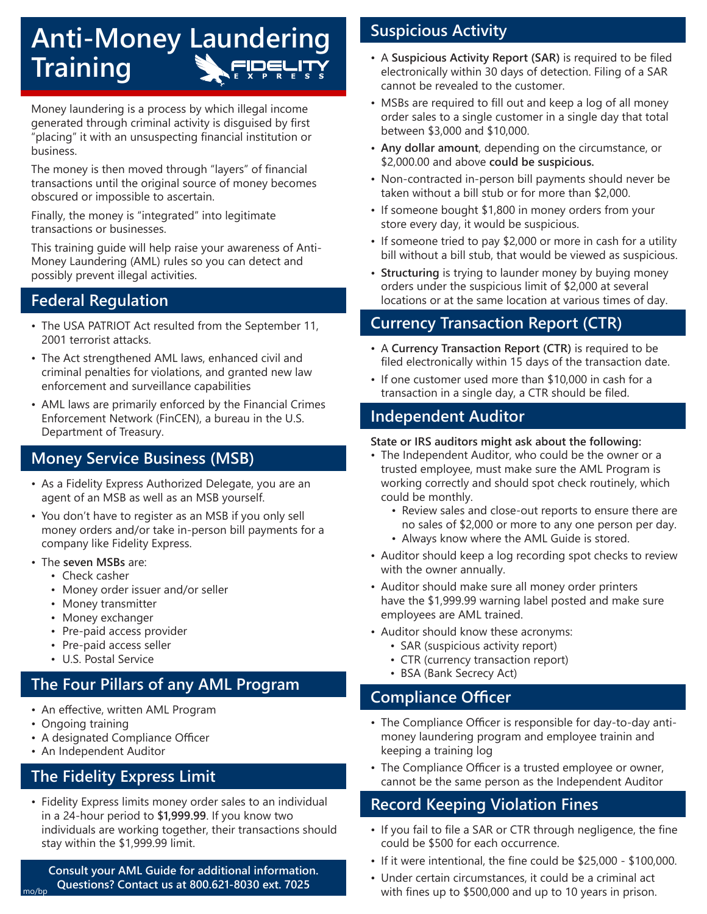# **Anti-Money Laundering Training**

Money laundering is a process by which illegal income generated through criminal activity is disguised by first "placing" it with an unsuspecting financial institution or business.

The money is then moved through "layers" of financial transactions until the original source of money becomes obscured or impossible to ascertain.

Finally, the money is "integrated" into legitimate transactions or businesses.

This training guide will help raise your awareness of Anti-Money Laundering (AML) rules so you can detect and possibly prevent illegal activities.

## **Federal Regulation**

- The USA PATRIOT Act resulted from the September 11, 2001 terrorist attacks.
- The Act strengthened AML laws, enhanced civil and criminal penalties for violations, and granted new law enforcement and surveillance capabilities
- AML laws are primarily enforced by the Financial Crimes Enforcement Network (FinCEN), a bureau in the U.S. Department of Treasury.

## **Money Service Business (MSB)**

- As a Fidelity Express Authorized Delegate, you are an agent of an MSB as well as an MSB yourself.
- You don't have to register as an MSB if you only sell money orders and/or take in-person bill payments for a company like Fidelity Express.
- The **seven MSBs** are:
	- Check casher
	- Money order issuer and/or seller
	- Money transmitter
	- Money exchanger
	- Pre-paid access provider
	- Pre-paid access seller
	- U.S. Postal Service

# **The Four Pillars of any AML Program**

- An effective, written AML Program
- Ongoing training
- A designated Compliance Officer
- An Independent Auditor

## **The Fidelity Express Limit**

• Fidelity Express limits money order sales to an individual in a 24-hour period to **\$1,999.99**. If you know two individuals are working together, their transactions should stay within the \$1,999.99 limit.

**Consult your AML Guide for additional information. Questions? Contact us at 800.621-8030 ext. 7025** mo/bp

# **Suspicious Activity**

- A **Suspicious Activity Report (SAR)** is required to be filed electronically within 30 days of detection. Filing of a SAR cannot be revealed to the customer.
- MSBs are required to fill out and keep a log of all money order sales to a single customer in a single day that total between \$3,000 and \$10,000.
- **• Any dollar amount**, depending on the circumstance, or \$2,000.00 and above **could be suspicious.**
- Non-contracted in-person bill payments should never be taken without a bill stub or for more than \$2,000.
- If someone bought \$1,800 in money orders from your store every day, it would be suspicious.
- If someone tried to pay \$2,000 or more in cash for a utility bill without a bill stub, that would be viewed as suspicious.
- **• Structuring** is trying to launder money by buying money orders under the suspicious limit of \$2,000 at several locations or at the same location at various times of day.

# **Currency Transaction Report (CTR)**

- A **Currency Transaction Report (CTR)** is required to be filed electronically within 15 days of the transaction date.
- If one customer used more than \$10,000 in cash for a transaction in a single day, a CTR should be filed.

### **Independent Auditor**

#### **State or IRS auditors might ask about the following:**

- The Independent Auditor, who could be the owner or a trusted employee, must make sure the AML Program is working correctly and should spot check routinely, which could be monthly.
	- Review sales and close-out reports to ensure there are no sales of \$2,000 or more to any one person per day. • Always know where the AML Guide is stored.
	-
- Auditor should keep a log recording spot checks to review with the owner annually.
- Auditor should make sure all money order printers have the \$1,999.99 warning label posted and make sure employees are AML trained.
- Auditor should know these acronyms:
	- SAR (suspicious activity report)
	- CTR (currency transaction report)
	- BSA (Bank Secrecy Act)

## **Compliance Officer**

- The Compliance Officer is responsible for day-to-day antimoney laundering program and employee trainin and keeping a training log
- The Compliance Officer is a trusted employee or owner, cannot be the same person as the Independent Auditor

## **Record Keeping Violation Fines**

- If you fail to file a SAR or CTR through negligence, the fine could be \$500 for each occurrence.
- If it were intentional, the fine could be \$25,000 \$100,000.
- Under certain circumstances, it could be a criminal act with fines up to \$500,000 and up to 10 years in prison.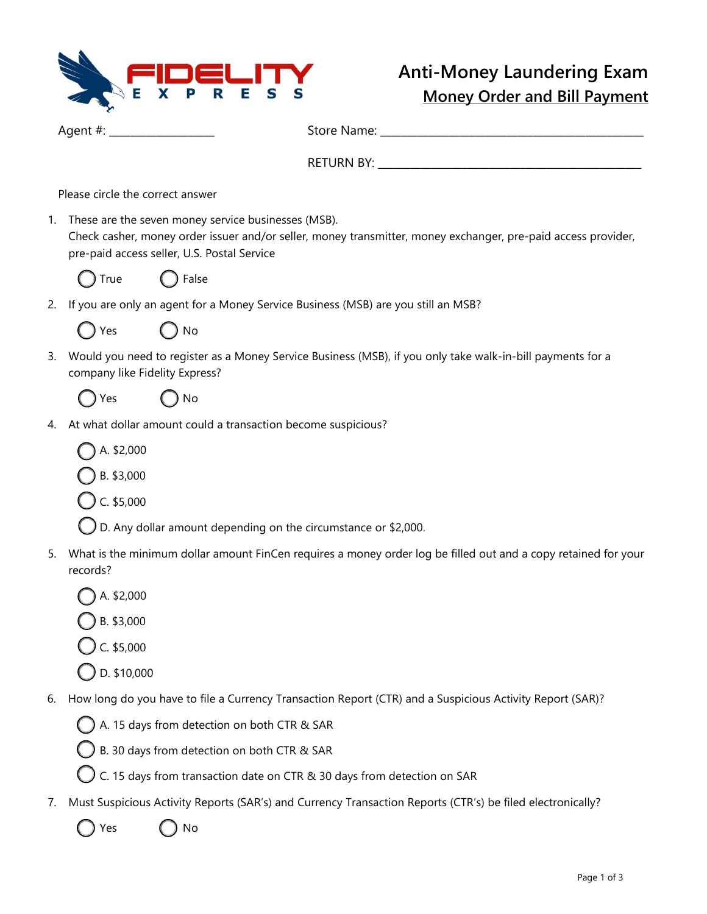

Agent #: \_\_\_\_\_\_\_\_\_\_\_\_\_\_\_\_\_\_\_\_ Store Name: \_\_\_\_\_\_\_\_\_\_\_\_\_\_\_\_\_\_\_\_\_\_\_\_\_\_\_\_\_\_\_\_\_\_\_\_\_\_\_\_\_\_\_\_\_\_\_\_\_\_

RETURN BY:

Please circle the correct answer

- 1. These are the seven money service businesses (MSB). Check casher, money order issuer and/or seller, money transmitter, money exchanger, pre-paid access provider, pre-paid access seller, U.S. Postal Service
	- True **C** False

C

2. If you are only an agent for a Money Service Business (MSB) are you still an MSB?

| Yes<br>$\lambda$ | ) No |
|------------------|------|
|------------------|------|

3. Would you need to register as a Money Service Business (MSB), if you only take walk-in-bill payments for a company like Fidelity Express?



Yes ( ) No

- 4. At what dollar amount could a transaction become suspicious?
	- A. \$2,000

B. \$3,000

C. \$5,000

- D. Any dollar amount depending on the circumstance or \$2,000.
- 5. What is the minimum dollar amount FinCen requires a money order log be filled out and a copy retained for your records?
	- A. \$2,000
	- B. \$3,000
	- C. \$5,000
	- D. \$10,000
- 6. How long do you have to file a Currency Transaction Report (CTR) and a Suspicious Activity Report (SAR)?
	- A. 15 days from detection on both CTR & SAR
	- B. 30 days from detection on both CTR & SAR
	- C. 15 days from transaction date on CTR & 30 days from detection on SAR
- 7. Must Suspicious Activity Reports (SAR's) and Currency Transaction Reports (CTR's) be filed electronically?
	- Yes ( ) No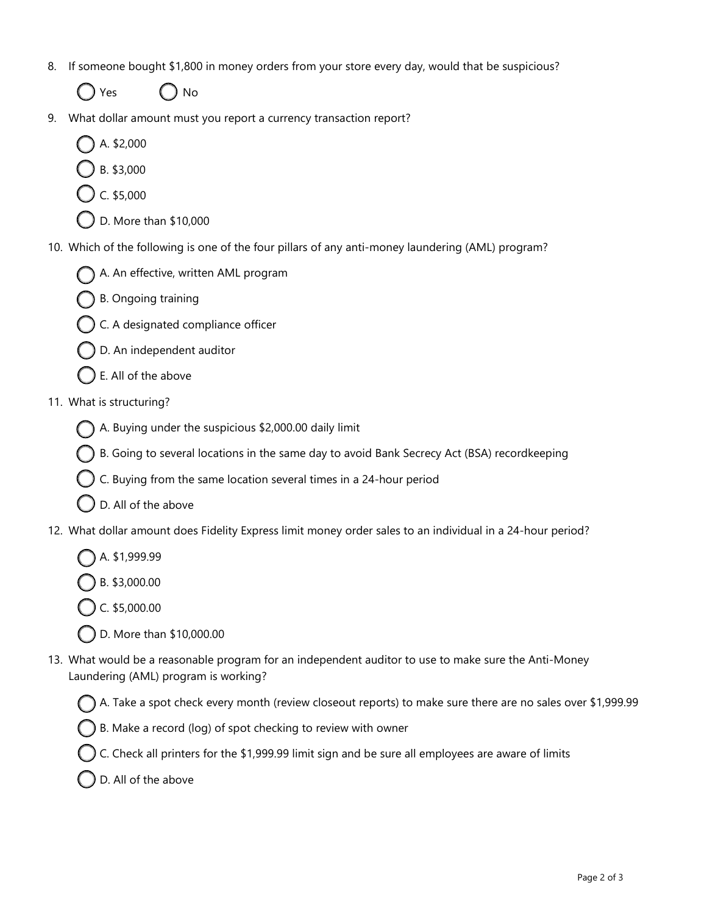- 8. If someone bought \$1,800 in money orders from your store every day, would that be suspicious?
	- Yes  $\bigcap$  No
- 9. What dollar amount must you report a currency transaction report?
	- A. \$2,000
	- B. \$3,000
	- C. \$5,000
	- D. More than \$10,000
- 10. Which of the following is one of the four pillars of any anti-money laundering (AML) program?
	- A. An effective, written AML program
	- B. Ongoing training
	- C. A designated compliance officer
	- D. An independent auditor
	- E. All of the above
- 11. What is structuring?
	- A. Buying under the suspicious \$2,000.00 daily limit
	- B. Going to several locations in the same day to avoid Bank Secrecy Act (BSA) recordkeeping
	- C. Buying from the same location several times in a 24-hour period
	- D. All of the above
- 12. What dollar amount does Fidelity Express limit money order sales to an individual in a 24-hour period?
	- A. \$1,999.99
	- B. \$3,000.00
	- C. \$5,000.00
	- D. More than \$10,000.00
- 13. What would be a reasonable program for an independent auditor to use to make sure the Anti-Money Laundering (AML) program is working?
	- A. Take a spot check every month (review closeout reports) to make sure there are no sales over \$1,999.99
	- B. Make a record (log) of spot checking to review with owner
	- C. Check all printers for the \$1,999.99 limit sign and be sure all employees are aware of limits
	- D. All of the above